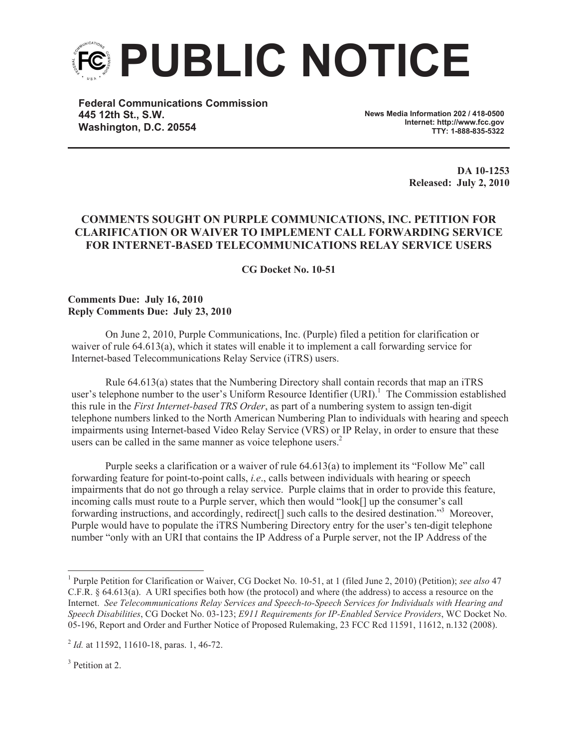

**Federal Communications Commission 445 12th St., S.W. Washington, D.C. 20554**

**News Media Information 202 / 418-0500 Internet: http://www.fcc.gov TTY: 1-888-835-5322**

> **DA 10-1253 Released: July 2, 2010**

## **COMMENTS SOUGHT ON PURPLE COMMUNICATIONS, INC. PETITION FOR CLARIFICATION OR WAIVER TO IMPLEMENT CALL FORWARDING SERVICE FOR INTERNET-BASED TELECOMMUNICATIONS RELAY SERVICE USERS**

**CG Docket No. 10-51**

## **Comments Due: July 16, 2010 Reply Comments Due: July 23, 2010**

On June 2, 2010, Purple Communications, Inc. (Purple) filed a petition for clarification or waiver of rule 64.613(a), which it states will enable it to implement a call forwarding service for Internet-based Telecommunications Relay Service (iTRS) users.

Rule 64.613(a) states that the Numbering Directory shall contain records that map an iTRS user's telephone number to the user's Uniform Resource Identifier (URI).<sup>1</sup> The Commission established this rule in the *First Internet-based TRS Order*, as part of a numbering system to assign ten-digit telephone numbers linked to the North American Numbering Plan to individuals with hearing and speech impairments using Internet-based Video Relay Service (VRS) or IP Relay, in order to ensure that these users can be called in the same manner as voice telephone users.<sup>2</sup>

Purple seeks a clarification or a waiver of rule 64.613(a) to implement its "Follow Me" call forwarding feature for point-to-point calls, *i.e*., calls between individuals with hearing or speech impairments that do not go through a relay service. Purple claims that in order to provide this feature, incoming calls must route to a Purple server, which then would "look[] up the consumer's call forwarding instructions, and accordingly, redirect<sup>[]</sup> such calls to the desired destination."<sup>3</sup> Moreover, Purple would have to populate the iTRS Numbering Directory entry for the user's ten-digit telephone number "only with an URI that contains the IP Address of a Purple server, not the IP Address of the

<sup>3</sup> Petition at 2.

<sup>&</sup>lt;sup>1</sup> Purple Petition for Clarification or Waiver, CG Docket No. 10-51, at 1 (filed June 2, 2010) (Petition); *see also* 47 C.F.R. § 64.613(a). A URI specifies both how (the protocol) and where (the address) to access a resource on the Internet. *See Telecommunications Relay Services and Speech-to-Speech Services for Individuals with Hearing and Speech Disabilities*, CG Docket No. 03-123; *E911 Requirements for IP-Enabled Service Providers*, WC Docket No. 05-196, Report and Order and Further Notice of Proposed Rulemaking, 23 FCC Rcd 11591, 11612, n.132 (2008).

<sup>&</sup>lt;sup>2</sup> *Id.* at 11592, 11610-18, paras. 1, 46-72.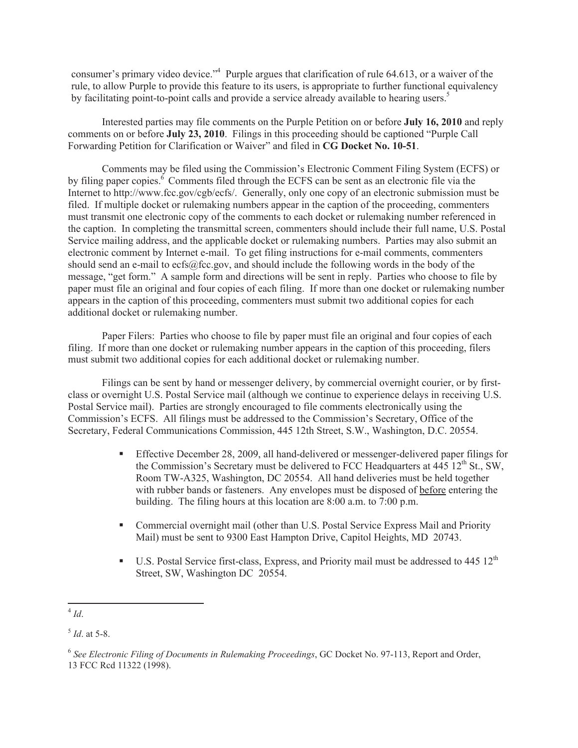consumer's primary video device."<sup>4</sup> Purple argues that clarification of rule 64.613, or a waiver of the rule, to allow Purple to provide this feature to its users, is appropriate to further functional equivalency by facilitating point-to-point calls and provide a service already available to hearing users.<sup>5</sup>

Interested parties may file comments on the Purple Petition on or before **July 16, 2010** and reply comments on or before **July 23, 2010**. Filings in this proceeding should be captioned "Purple Call Forwarding Petition for Clarification or Waiver" and filed in **CG Docket No. 10-51**.

Comments may be filed using the Commission's Electronic Comment Filing System (ECFS) or by filing paper copies.<sup>6</sup> Comments filed through the ECFS can be sent as an electronic file via the Internet to http://www.fcc.gov/cgb/ecfs/. Generally, only one copy of an electronic submission must be filed. If multiple docket or rulemaking numbers appear in the caption of the proceeding, commenters must transmit one electronic copy of the comments to each docket or rulemaking number referenced in the caption. In completing the transmittal screen, commenters should include their full name, U.S. Postal Service mailing address, and the applicable docket or rulemaking numbers. Parties may also submit an electronic comment by Internet e-mail. To get filing instructions for e-mail comments, commenters should send an e-mail to ecfs@fcc.gov, and should include the following words in the body of the message, "get form." A sample form and directions will be sent in reply. Parties who choose to file by paper must file an original and four copies of each filing. If more than one docket or rulemaking number appears in the caption of this proceeding, commenters must submit two additional copies for each additional docket or rulemaking number.

Paper Filers: Parties who choose to file by paper must file an original and four copies of each filing. If more than one docket or rulemaking number appears in the caption of this proceeding, filers must submit two additional copies for each additional docket or rulemaking number.

Filings can be sent by hand or messenger delivery, by commercial overnight courier, or by firstclass or overnight U.S. Postal Service mail (although we continue to experience delays in receiving U.S. Postal Service mail). Parties are strongly encouraged to file comments electronically using the Commission's ECFS. All filings must be addressed to the Commission's Secretary, Office of the Secretary, Federal Communications Commission, 445 12th Street, S.W., Washington, D.C. 20554.

- **•** Effective December 28, 2009, all hand-delivered or messenger-delivered paper filings for the Commission's Secretary must be delivered to FCC Headquarters at 445  $12<sup>th</sup>$  St., SW, Room TW-A325, Washington, DC 20554. All hand deliveries must be held together with rubber bands or fasteners. Any envelopes must be disposed of before entering the building. The filing hours at this location are 8:00 a.m. to 7:00 p.m.
- Commercial overnight mail (other than U.S. Postal Service Express Mail and Priority Mail) must be sent to 9300 East Hampton Drive, Capitol Heights, MD 20743.
- **•** U.S. Postal Service first-class, Express, and Priority mail must be addressed to 445  $12<sup>th</sup>$ Street, SW, Washington DC 20554.

<sup>4</sup> *Id*.

<sup>5</sup> *Id*. at 5-8.

<sup>6</sup> *See Electronic Filing of Documents in Rulemaking Proceedings*, GC Docket No. 97-113, Report and Order, 13 FCC Rcd 11322 (1998).